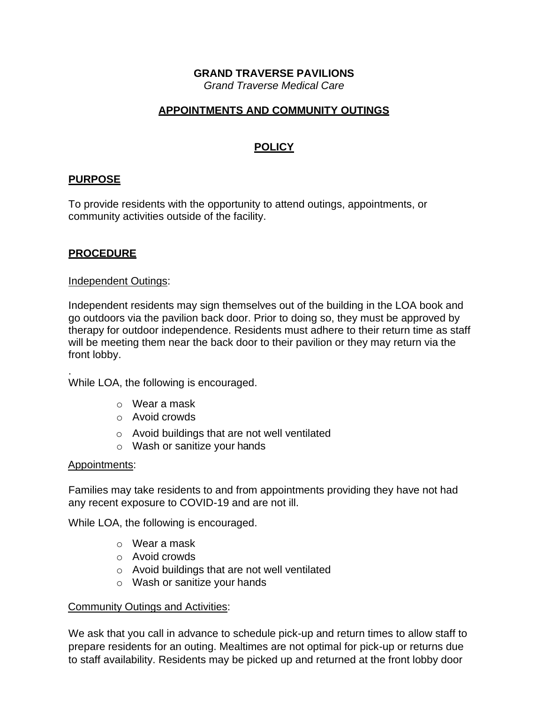# **GRAND TRAVERSE PAVILIONS**

*Grand Traverse Medical Care*

## **APPOINTMENTS AND COMMUNITY OUTINGS**

# **POLICY**

# **PURPOSE**

To provide residents with the opportunity to attend outings, appointments, or community activities outside of the facility.

## **PROCEDURE**

### Independent Outings:

Independent residents may sign themselves out of the building in the LOA book and go outdoors via the pavilion back door. Prior to doing so, they must be approved by therapy for outdoor independence. Residents must adhere to their return time as staff will be meeting them near the back door to their pavilion or they may return via the front lobby.

While LOA, the following is encouraged.

- o Wear a mask
- o Avoid crowds
- o Avoid buildings that are not well ventilated
- o Wash or sanitize your hands

### Appointments:

.

Families may take residents to and from appointments providing they have not had any recent exposure to COVID-19 and are not ill.

While LOA, the following is encouraged.

- o Wear a mask
- o Avoid crowds
- o Avoid buildings that are not well ventilated
- o Wash or sanitize your hands

### Community Outings and Activities:

We ask that you call in advance to schedule pick-up and return times to allow staff to prepare residents for an outing. Mealtimes are not optimal for pick-up or returns due to staff availability. Residents may be picked up and returned at the front lobby door